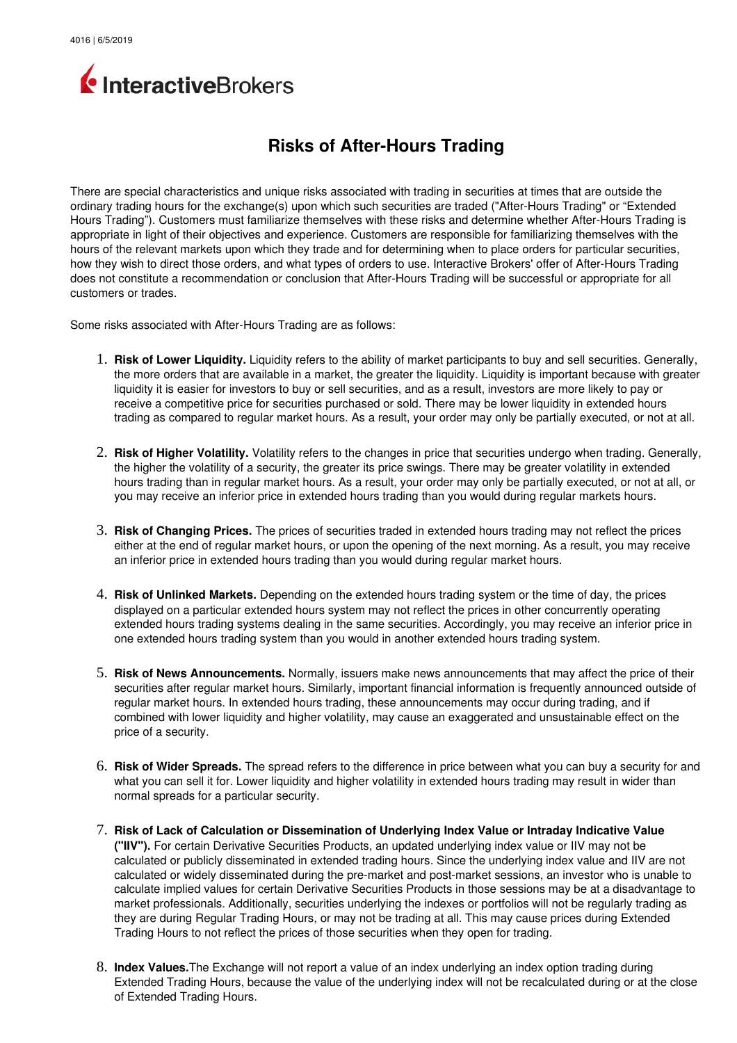

## **Risks of After-Hours Trading**

There are special characteristics and unique risks associated with trading in securities at times that are outside the ordinary trading hours for the exchange(s) upon which such securities are traded ("After-Hours Trading" or "Extended Hours Trading"). Customers must familiarize themselves with these risks and determine whether After-Hours Trading is appropriate in light of their objectives and experience. Customers are responsible for familiarizing themselves with the hours of the relevant markets upon which they trade and for determining when to place orders for particular securities, how they wish to direct those orders, and what types of orders to use. Interactive Brokers' offer of After-Hours Trading does not constitute a recommendation or conclusion that After-Hours Trading will be successful or appropriate for all customers or trades.

Some risks associated with After-Hours Trading are as follows:

- 1. **Risk of Lower Liquidity.** Liquidity refers to the ability of market participants to buy and sell securities. Generally, the more orders that are available in a market, the greater the liquidity. Liquidity is important because with greater liquidity it is easier for investors to buy or sell securities, and as a result, investors are more likely to pay or receive a competitive price for securities purchased or sold. There may be lower liquidity in extended hours trading as compared to regular market hours. As a result, your order may only be partially executed, or not at all.
- 2. **Risk of Higher Volatility.** Volatility refers to the changes in price that securities undergo when trading. Generally, the higher the volatility of a security, the greater its price swings. There may be greater volatility in extended hours trading than in regular market hours. As a result, your order may only be partially executed, or not at all, or you may receive an inferior price in extended hours trading than you would during regular markets hours.
- 3. **Risk of Changing Prices.** The prices of securities traded in extended hours trading may not reflect the prices either at the end of regular market hours, or upon the opening of the next morning. As a result, you may receive an inferior price in extended hours trading than you would during regular market hours.
- 4. **Risk of Unlinked Markets.** Depending on the extended hours trading system or the time of day, the prices displayed on a particular extended hours system may not reflect the prices in other concurrently operating extended hours trading systems dealing in the same securities. Accordingly, you may receive an inferior price in one extended hours trading system than you would in another extended hours trading system.
- 5. **Risk of News Announcements.** Normally, issuers make news announcements that may affect the price of their securities after regular market hours. Similarly, important financial information is frequently announced outside of regular market hours. In extended hours trading, these announcements may occur during trading, and if combined with lower liquidity and higher volatility, may cause an exaggerated and unsustainable effect on the price of a security.
- 6. **Risk of Wider Spreads.** The spread refers to the difference in price between what you can buy a security for and what you can sell it for. Lower liquidity and higher volatility in extended hours trading may result in wider than normal spreads for a particular security.
- 7. **Risk of Lack of Calculation or Dissemination of Underlying Index Value or Intraday Indicative Value ("IIV").** For certain Derivative Securities Products, an updated underlying index value or IIV may not be calculated or publicly disseminated in extended trading hours. Since the underlying index value and IIV are not calculated or widely disseminated during the pre-market and post-market sessions, an investor who is unable to calculate implied values for certain Derivative Securities Products in those sessions may be at a disadvantage to market professionals. Additionally, securities underlying the indexes or portfolios will not be regularly trading as they are during Regular Trading Hours, or may not be trading at all. This may cause prices during Extended Trading Hours to not reflect the prices of those securities when they open for trading.
- 8. **Index Values.**The Exchange will not report a value of an index underlying an index option trading during Extended Trading Hours, because the value of the underlying index will not be recalculated during or at the close of Extended Trading Hours.